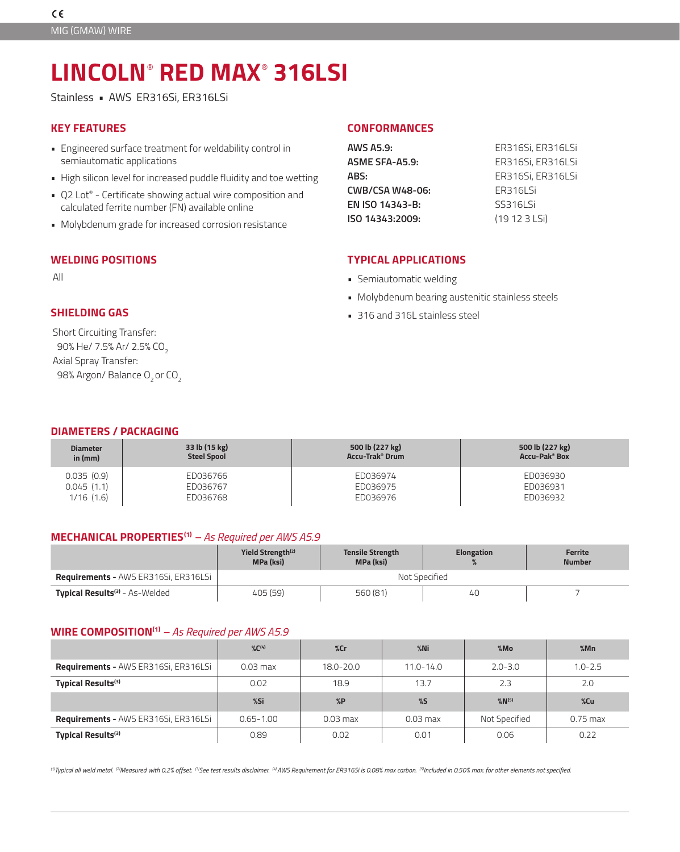# **LINCOLN**®  **RED MAX**®  **316LSI**

Stainless • AWS ER316Si, ER316LSi

## **KEY FEATURES**

- Engineered surface treatment for weldability control in semiautomatic applications
- High silicon level for increased puddle fluidity and toe wetting
- Q2 Lot® Certificate showing actual wire composition and calculated ferrite number (FN) available online
- Molybdenum grade for increased corrosion resistance

## **WELDING POSITIONS TYPICAL APPLICATIONS**

# **SHIELDING GAS**

Short Circuiting Transfer: 90% He/ 7.5% Ar/ 2.5% CO2 Axial Spray Transfer: 98% Argon/ Balance O<sub>2</sub> or CO<sub>2</sub>

#### **CONFORMANCES**

| ER316Si, ER316LSi |
|-------------------|
| ER316Si, ER316LSi |
| ER316Si, ER316LSi |
| ER316LSi          |
| SS316LSi          |
| (19 12 3 LSi)     |
|                   |

- All **All All Figure 2.1 <b>CONTENT 2.1 CONTENT 3.1 CONTENT 3.1 Semiautomatic welding** 
	- Molybdenum bearing austenitic stainless steels
	- 316 and 316L stainless steel

| <b>DIAMETERS / PACKAGING</b> |
|------------------------------|
|------------------------------|

| <b>Diameter</b><br>in $(mm)$ | 33 lb (15 kg)<br><b>Steel Spool</b> | 500 lb (227 kg)<br>Accu-Trak <sup>®</sup> Drum | 500 lb (227 kg)<br>Accu-Pak® Box |
|------------------------------|-------------------------------------|------------------------------------------------|----------------------------------|
| 0.035(0.9)                   | ED036766                            | ED036974                                       | ED036930                         |
| 0.045(1.1)                   | ED036767                            | ED036975                                       | ED036931                         |
| 1/16(1.6)                    | ED036768                            | ED036976                                       | ED036932                         |

#### **MECHANICAL PROPERTIES(1)** *– As Required per AWS A5.9*

|                                                  | Yield Strength <sup>(2)</sup><br><b>MPa (ksi)</b> | <b>Tensile Strength</b><br><b>MPa (ksi)</b> | <b>Elongation</b> | Ferrite<br><b>Number</b> |  |
|--------------------------------------------------|---------------------------------------------------|---------------------------------------------|-------------------|--------------------------|--|
| <b>Requirements - AWS ER316Si, ER316LSi</b>      | Not Specified                                     |                                             |                   |                          |  |
| <b>Typical Results<sup>(3)</sup></b> - As-Welded | 405 (59)                                          | 560 (81)                                    | 40 <sup>2</sup>   |                          |  |

#### **WIRE COMPOSITION(1)** *– As Required per AWS A5.9*

|                                             | $\%C^{(4)}$   | $\%$ Cr    | $%$ Ni        | %Mo                   | %Mn         |
|---------------------------------------------|---------------|------------|---------------|-----------------------|-------------|
| <b>Requirements - AWS ER316Si, ER316LSi</b> | $0.03$ max    | 18.0-20.0  | $11.0 - 14.0$ | $2.0 - 3.0$           | $1.0 - 2.5$ |
| <b>Typical Results</b> <sup>(3)</sup>       | 0.02          | 18.9       | 13.7          | 2.3                   | 2.0         |
|                                             |               |            |               |                       |             |
|                                             | %Si           | $\%P$      | $\%$          | $\%$ N <sup>(5)</sup> | %Cu         |
| <b>Requirements - AWS ER316Si, ER316LSi</b> | $0.65 - 1.00$ | $0.03$ max | $0.03$ max    | Not Specified         | $0.75$ max  |

*(1)Typical all weld metal. (2)Measured with 0.2% offset. (3)See test results disclaimer. (4) AWS Requirement for ER316Si is 0.08% max carbon. (5)Included in 0.50% max. for other elements not specified.*